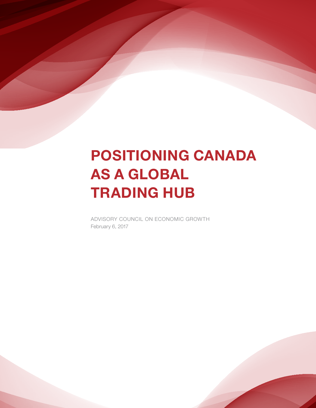# POSITIONING CANADA AS A GLOBAL TRADING HUB

ADVISORY COUNCIL ON ECONOMIC GROWTH February 6, 2017

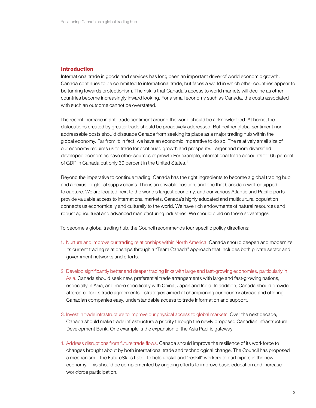#### **Introduction**

International trade in goods and services has long been an important driver of world economic growth. Canada continues to be committed to international trade, but faces a world in which other countries appear to be turning towards protectionism. The risk is that Canada's access to world markets will decline as other countries become increasingly inward looking. For a small economy such as Canada, the costs associated with such an outcome cannot be overstated.

The recent increase in anti-trade sentiment around the world should be acknowledged. At home, the dislocations created by greater trade should be proactively addressed. But neither global sentiment nor addressable costs should dissuade Canada from seeking its place as a major trading hub within the global economy. Far from it: in fact, we have an economic imperative to do so. The relatively small size of our economy requires us to trade for continued growth and prosperity. Larger and more diversified developed economies have other sources of growth For example, international trade accounts for 65 percent of GDP in Canada but only 30 percent in the United States.<sup>1</sup>

Beyond the imperative to continue trading, Canada has the right ingredients to become a global trading hub and a nexus for global supply chains. This is an enviable position, and one that Canada is well-equipped to capture. We are located next to the world's largest economy, and our various Atlantic and Pacific ports provide valuable access to international markets. Canada's highly educated and multicultural population connects us economically and culturally to the world. We have rich endowments of natural resources and robust agricultural and advanced manufacturing industries. We should build on these advantages.

To become a global trading hub, the Council recommends four specific policy directions:

- 1. Nurture and improve our trading relationships within North America. Canada should deepen and modernize its current trading relationships through a "Team Canada" approach that includes both private sector and government networks and efforts.
- 2. Develop significantly better and deeper trading links with large and fast-growing economies, particularly in Asia. Canada should seek new, preferential trade arrangements with large and fast-growing nations, especially in Asia, and more specifically with China, Japan and India. In addition, Canada should provide "aftercare" for its trade agreements—strategies aimed at championing our country abroad and offering Canadian companies easy, understandable access to trade information and support.
- 3. Invest in trade infrastructure to improve our physical access to global markets. Over the next decade, Canada should make trade infrastructure a priority through the newly proposed Canadian Infrastructure Development Bank. One example is the expansion of the Asia Pacific gateway.
- 4. Address disruptions from future trade flows. Canada should improve the resilience of its workforce to changes brought about by both international trade and technological change. The Council has proposed a mechanism – the FutureSkills Lab – to help upskill and "reskill" workers to participate in the new economy. This should be complemented by ongoing efforts to improve basic education and increase workforce participation.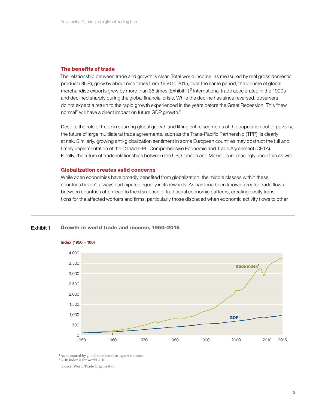#### The benefits of trade

The relationship between trade and growth is clear. Total world income, as measured by real gross domestic product (GDP), grew by about nine times from 1950 to 2015; over the same period, the volume of global merchandise exports grew by more than 35 times (Exhibit 1).<sup>2</sup> International trade accelerated in the 1990s and declined sharply during the global financial crisis. While the decline has since reversed, observers do not expect a return to the rapid growth experienced in the years before the Great Recession. This "new normal" will have a direct impact on future GDP growth.<sup>3</sup>

Despite the role of trade in spurring global growth and lifting entire segments of the population out of poverty, the future of large multilateral trade agreements, such as the Trans-Pacific Partnership (TPP), is clearly at risk. Similarly, growing anti-globalization sentiment in some European countries may obstruct the full and timely implementation of the Canada–EU Comprehensive Economic and Trade Agreement (CETA). Finally, the future of trade relationships between the US, Canada and Mexico is increasingly uncertain as well.

#### **Globalization creates valid concerns**

Growth in world trade and income, 1950–2015

While open economies have broadly benefited from globalization, the middle classes within these countries haven't always participated equally in its rewards. As has long been known, greater trade flows between countries often lead to the disruption of traditional economic patterns, creating costly transitions for the affected workers and firms, particularly those displaced when economic activity flows to other

### 4,000 3,500 Trade index<sup>1</sup> 3,000 2,500 2,000 1,500 1,000 GDP<sup>2</sup> 500  $\overline{1}$  $\begin{array}{c} 0 \\ 1950 \end{array}$ 1950 1960 1970 1980 1990 2000 2010 2015

## Index (1950 = 100)

Exhibit 1

<sup>1</sup> As measured by global merchandise export volumes.

2 GDP index is for world GDP.

Source: World Trade Organization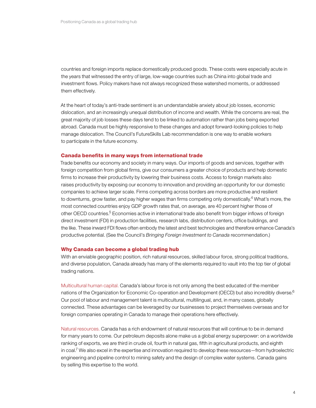countries and foreign imports replace domestically produced goods. These costs were especially acute in the years that witnessed the entry of large, low-wage countries such as China into global trade and investment flows. Policy makers have not always recognized these watershed moments, or addressed them effectively.

At the heart of today's anti-trade sentiment is an understandable anxiety about job losses, economic dislocation, and an increasingly unequal distribution of income and wealth. While the concerns are real, the great majority of job losses these days tend to be linked to automation rather than jobs being exported abroad. Canada must be highly responsive to these changes and adopt forward-looking policies to help manage dislocation. The Council's FutureSkills Lab recommendation is one way to enable workers to participate in the future economy.

#### Canada benefits in many ways from international trade

Trade benefits our economy and society in many ways. Our imports of goods and services, together with foreign competition from global firms, give our consumers a greater choice of products and help domestic firms to increase their productivity by lowering their business costs. Access to foreign markets also raises productivity by exposing our economy to innovation and providing an opportunity for our domestic companies to achieve larger scale. Firms competing across borders are more productive and resilient to downturns, grow faster, and pay higher wages than firms competing only domestically.<sup>4</sup> What's more, the most connected countries enjoy GDP growth rates that, on average, are 40 percent higher those of other OECD countries.<sup>5</sup> Economies active in international trade also benefit from bigger inflows of foreign direct investment (FDI) in production facilities, research labs, distribution centers, office buildings, and the like. These inward FDI flows often embody the latest and best technologies and therefore enhance Canada's productive potential. (See the Council's *Bringing Foreign Investment to Canada* recommendation.)

#### Why Canada can become a global trading hub

With an enviable geographic position, rich natural resources, skilled labour force, strong political traditions, and diverse population, Canada already has many of the elements required to vault into the top tier of global trading nations.

Multicultural human capital. Canada's labour force is not only among the best educated of the member nations of the Organization for Economic Co-operation and Development (OECD) but also incredibly diverse.<sup>6</sup> Our pool of labour and management talent is multicultural, multilingual, and, in many cases, globally connected. These advantages can be leveraged by our businesses to project themselves overseas and for foreign companies operating in Canada to manage their operations here effectively.

Natural resources. Canada has a rich endowment of natural resources that will continue to be in demand for many years to come. Our petroleum deposits alone make us a global energy superpower: on a worldwide ranking of exports, we are third in crude oil, fourth in natural gas, fifth in agricultural products, and eighth in coal.7 We also excel in the expertise and innovation required to develop these resources—from hydroelectric engineering and pipeline control to mining safety and the design of complex water systems. Canada gains by selling this expertise to the world.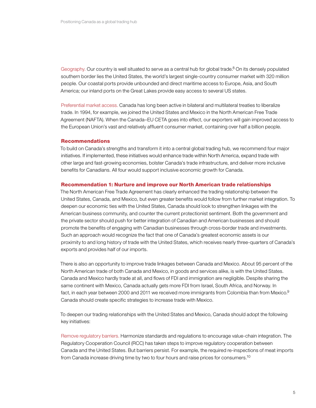Geography. Our country is well situated to serve as a central hub for global trade.<sup>8</sup> On its densely populated southern border lies the United States, the world's largest single-country consumer market with 320 million people. Our coastal ports provide unbounded and direct maritime access to Europe, Asia, and South America; our inland ports on the Great Lakes provide easy access to several US states.

Preferential market access. Canada has long been active in bilateral and multilateral treaties to liberalize trade. In 1994, for example, we joined the United States and Mexico in the North American Free Trade Agreement (NAFTA). When the Canada–EU CETA goes into effect, our exporters will gain improved access to the European Union's vast and relatively affluent consumer market, containing over half a billion people.

#### Recommendations

To build on Canada's strengths and transform it into a central global trading hub, we recommend four major initiatives. If implemented, these initiatives would enhance trade within North America, expand trade with other large and fast-growing economies, bolster Canada's trade infrastructure, and deliver more inclusive benefits for Canadians. All four would support inclusive economic growth for Canada.

#### Recommendation 1: Nurture and improve our North American trade relationships

The North American Free Trade Agreement has clearly enhanced the trading relationship between the United States, Canada, and Mexico, but even greater benefits would follow from further market integration. To deepen our economic ties with the United States, Canada should look to strengthen linkages with the American business community, and counter the current protectionist sentiment. Both the government and the private sector should push for better integration of Canadian and American businesses and should promote the benefits of engaging with Canadian businesses through cross-border trade and investments. Such an approach would recognize the fact that one of Canada's greatest economic assets is our proximity to and long history of trade with the United States, which receives nearly three-quarters of Canada's exports and provides half of our imports.

There is also an opportunity to improve trade linkages between Canada and Mexico. About 95 percent of the North American trade of both Canada and Mexico, in goods and services alike, is with the United States. Canada and Mexico hardly trade at all, and flows of FDI and immigration are negligible. Despite sharing the same continent with Mexico, Canada actually gets more FDI from Israel, South Africa, and Norway. In fact, in each year between 2000 and 2011 we received more immigrants from Colombia than from Mexico. $9$ Canada should create specific strategies to increase trade with Mexico.

To deepen our trading relationships with the United States and Mexico, Canada should adopt the following key initiatives:

Remove regulatory barriers. Harmonize standards and regulations to encourage value-chain integration. The Regulatory Cooperation Council (RCC) has taken steps to improve regulatory cooperation between Canada and the United States. But barriers persist. For example, the required re-inspections of meat imports from Canada increase driving time by two to four hours and raise prices for consumers.<sup>10</sup>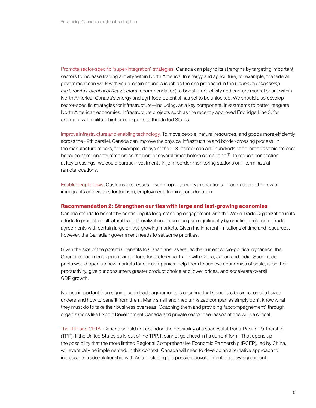Promote sector-specific "super-integration" strategies. Canada can play to its strengths by targeting important sectors to increase trading activity within North America. In energy and agriculture, for example, the federal government can work with value-chain councils (such as the one proposed in the *Council's Unleashing the Growth Potential of Key Sectors* recommendation) to boost productivity and capture market share within North America. Canada's energy and agri-food potential has yet to be unlocked. We should also develop sector-specific strategies for infrastructure—including, as a key component, investments to better integrate North American economies. Infrastructure projects such as the recently approved Enbridge Line 3, for example, will facilitate higher oil exports to the United States.

Improve infrastructure and enabling technology. To move people, natural resources, and goods more efficiently across the 49th parallel, Canada can improve the physical infrastructure and border-crossing process. In the manufacture of cars, for example, delays at the U.S. border can add hundreds of dollars to a vehicle's cost because components often cross the border several times before completion.<sup>11</sup> To reduce congestion at key crossings, we could pursue investments in joint border-monitoring stations or in terminals at remote locations.

Enable people flows. Customs processes—with proper security precautions—can expedite the flow of immigrants and visitors for tourism, employment, training, or education.

#### Recommendation 2: Strengthen our ties with large and fast-growing economies

Canada stands to benefit by continuing its long-standing engagement with the World Trade Organization in its efforts to promote multilateral trade liberalization. It can also gain significantly by creating preferential trade agreements with certain large or fast-growing markets. Given the inherent limitations of time and resources, however, the Canadian government needs to set some priorities.

Given the size of the potential benefits to Canadians, as well as the current socio-political dynamics, the Council recommends prioritizing efforts for preferential trade with China, Japan and India. Such trade pacts would open up new markets for our companies, help them to achieve economies of scale, raise their productivity, give our consumers greater product choice and lower prices, and accelerate overall GDP growth.

No less important than signing such trade agreements is ensuring that Canada's businesses of all sizes understand how to benefit from them. Many small and medium-sized companies simply don't know what they must do to take their business overseas. Coaching them and providing "accompagnement" through organizations like Export Development Canada and private sector peer associations will be critical.

The TPP and CETA. Canada should not abandon the possibility of a successful Trans-Pacific Partnership (TPP). If the United States pulls out of the TPP, it cannot go ahead in its current form. That opens up the possibility that the more limited Regional Comprehensive Economic Partnership (RCEP), led by China, will eventually be implemented. In this context, Canada will need to develop an alternative approach to increase its trade relationship with Asia, including the possible development of a new agreement.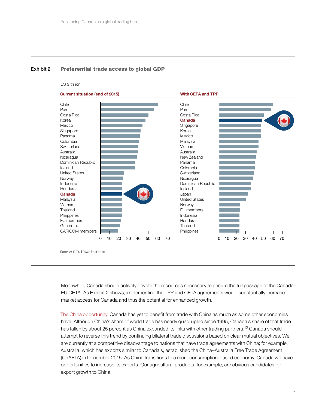#### Exhibit 2 Preferential trade access to global GDP

#### US \$ trillion



Source: C.D. Howe Institute

Meanwhile, Canada should actively devote the resources necessary to ensure the full passage of the Canada– EU CETA. As Exhibit 2 shows, implementing the TPP and CETA agreements would substantially increase market access for Canada and thus the potential for enhanced growth.

The China opportunity. Canada has yet to benefit from trade with China as much as some other economies have. Although China's share of world trade has nearly quadrupled since 1995, Canada's share of that trade has fallen by about 25 percent as China expanded its links with other trading partners.<sup>12</sup> Canada should attempt to reverse this trend by continuing bilateral trade discussions based on clear mutual objectives. We are currently at a competitive disadvantage to nations that have trade agreements with China; for example, Australia, which has exports similar to Canada's, established the China–Australia Free Trade Agreement (ChAFTA) in December 2015. As China transitions to a more consumption-based economy, Canada will have opportunities to increase its exports. Our agricultural products, for example, are obvious candidates for export growth to China.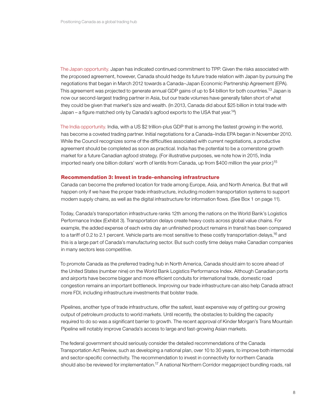The Japan opportunity. Japan has indicated continued commitment to TPP. Given the risks associated with the proposed agreement, however, Canada should hedge its future trade relation with Japan by pursuing the negotiations that began in March 2012 towards a Canada–Japan Economic Partnership Agreement (EPA). This agreement was projected to generate annual GDP gains of up to \$4 billion for both countries.<sup>13</sup> Japan is now our second-largest trading partner in Asia, but our trade volumes have generally fallen short of what they could be given that market's size and wealth. (In 2013, Canada did about \$25 billion in total trade with Japan – a figure matched only by Canada's agfood exports to the USA that year.<sup>14</sup>)

The India opportunity. India, with a US \$2 trillion-plus GDP that is among the fastest growing in the world, has become a coveted trading partner. Initial negotiations for a Canada–India EPA began in November 2010. While the Council recognizes some of the difficulties associated with current negotiations, a productive agreement should be completed as soon as practical. India has the potential to be a cornerstone growth market for a future Canadian agfood strategy. (For illustrative purposes, we note how in 2015, India imported nearly one billion dollars' worth of lentils from Canada, up from \$400 million the year prior.)<sup>15</sup>

#### Recommendation 3: Invest in trade-enhancing infrastructure

Canada can become the preferred location for trade among Europe, Asia, and North America. But that will happen only if we have the proper trade infrastructure, including modern transportation systems to support modern supply chains, as well as the digital infrastructure for information flows. (See Box 1 on page 11).

Today, Canada's transportation infrastructure ranks 12th among the nations on the World Bank's Logistics Performance Index (Exhibit 3). Transportation delays create heavy costs across global value chains. For example, the added expense of each extra day an unfinished product remains in transit has been compared to a tariff of 0.2 to 2.1 percent. Vehicle parts are most sensitive to these costly transportation delays,<sup>16</sup> and this is a large part of Canada's manufacturing sector. But such costly time delays make Canadian companies in many sectors less competitive.

To promote Canada as the preferred trading hub in North America, Canada should aim to score ahead of the United States (number nine) on the World Bank Logistics Performance Index. Although Canadian ports and airports have become bigger and more efficient conduits for international trade, domestic road congestion remains an important bottleneck. Improving our trade infrastructure can also help Canada attract more FDI, including infrastructure investments that bolster trade.

Pipelines, another type of trade infrastructure, offer the safest, least expensive way of getting our growing output of petroleum products to world markets. Until recently, the obstacles to building the capacity required to do so was a significant barrier to growth. The recent approval of Kinder Morgan's Trans Mountain Pipeline will notably improve Canada's access to large and fast-growing Asian markets.

The federal government should seriously consider the detailed recommendations of the Canada Transportation Act Review, such as developing a national plan, over 10 to 30 years, to improve both intermodal and sector-specific connectivity. The recommendation to invest in connectivity for northern Canada should also be reviewed for implementation.<sup>17</sup> A national Northern Corridor megaproject bundling roads, rail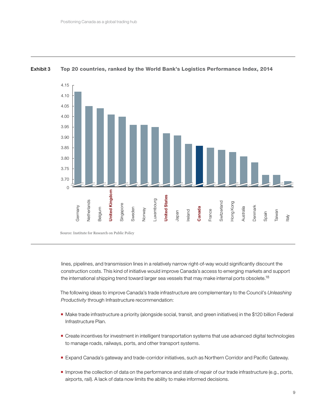

#### Exhibit 3 Top 20 countries, ranked by the World Bank's Logistics Performance Index, 2014

lines, pipelines, and transmission lines in a relatively narrow right-of-way would significantly discount the construction costs. This kind of initiative would improve Canada's access to emerging markets and support the international shipping trend toward larger sea vessels that may make internal ports obsolete.<sup>18</sup>

The following ideas to improve Canada's trade infrastructure are complementary to the Council's *Unleashing Productivity* through Infrastructure recommendation:

- Make trade infrastructure a priority (alongside social, transit, and green initiatives) in the \$120 billion Federal Infrastructure Plan.
- **Create incentives for investment in intelligent transportation systems that use advanced digital technologies** to manage roads, railways, ports, and other transport systems.
- Expand Canada's gateway and trade-corridor initiatives, such as Northern Corridor and Pacific Gateway.
- **Improve the collection of data on the performance and state of repair of our trade infrastructure (e.g., ports,** airports, rail). A lack of data now limits the ability to make informed decisions.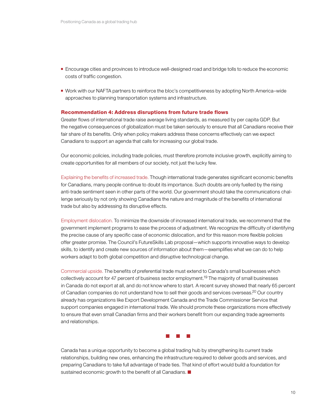- **Encourage cities and provinces to introduce well-designed road and bridge tolls to reduce the economic** costs of traffic congestion.
- Work with our NAFTA partners to reinforce the bloc's competitiveness by adopting North America–wide approaches to planning transportation systems and infrastructure.

#### Recommendation 4: Address disruptions from future trade flows

Greater flows of international trade raise average living standards, as measured by per capita GDP. But the negative consequences of globalization must be taken seriously to ensure that all Canadians receive their fair share of its benefits. Only when policy makers address these concerns effectively can we expect Canadians to support an agenda that calls for increasing our global trade.

Our economic policies, including trade policies, must therefore promote inclusive growth, explicitly aiming to create opportunities for all members of our society, not just the lucky few.

Explaining the benefits of increased trade. Though international trade generates significant economic benefits for Canadians, many people continue to doubt its importance. Such doubts are only fuelled by the rising anti-trade sentiment seen in other parts of the world. Our government should take the communications challenge seriously by not only showing Canadians the nature and magnitude of the benefits of international trade but also by addressing its disruptive effects.

Employment dislocation. To minimize the downside of increased international trade, we recommend that the government implement programs to ease the process of adjustment. We recognize the difficulty of identifying the precise cause of any specific case of economic dislocation, and for this reason more flexible policies offer greater promise. The Council's FutureSkills Lab proposal—which supports innovative ways to develop skills, to identify and create new sources of information about them—exemplifies what we can do to help workers adapt to both global competition and disruptive technological change.

Commercial upside. The benefits of preferential trade must extend to Canada's small businesses which collectively account for 47 percent of business sector employment.<sup>19</sup> The majority of small businesses in Canada do not export at all, and do not know where to start. A recent survey showed that nearly 65 percent of Canadian companies do not understand how to sell their goods and services overseas.<sup>20</sup> Our country already has organizations like Export Development Canada and the Trade Commissioner Service that support companies engaged in international trade. We should promote these organizations more effectively to ensure that even small Canadian firms and their workers benefit from our expanding trade agreements and relationships.



Canada has a unique opportunity to become a global trading hub by strengthening its current trade relationships, building new ones, enhancing the infrastructure required to deliver goods and services, and preparing Canadians to take full advantage of trade ties. That kind of effort would build a foundation for sustained economic growth to the benefit of all Canadians.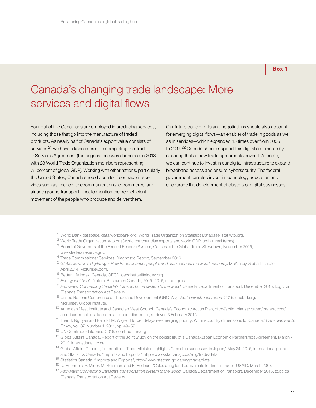#### Box 1

# Canada's changing trade landscape: More services and digital flows

Four out of five Canadians are employed in producing services, including those that go into the manufacture of traded products. As nearly half of Canada's export value consists of services,<sup>21</sup> we have a keen interest in completing the Trade in Services Agreement (the negotiations were launched in 2013 with 23 World Trade Organization members representing 75 percent of global GDP). Working with other nations, particularly the United States, Canada should push for freer trade in services such as finance, telecommunications, e-commerce, and air and ground transport—not to mention the free, efficient movement of the people who produce and deliver them.

Our future trade efforts and negotiations should also account for emerging digital flows—an enabler of trade in goods as well as in services—which expanded 45 times over from 2005 to 2014.<sup>22</sup> Canada should support this digital commerce by ensuring that all new trade agreements cover it. At home, we can continue to invest in our digital infrastructure to expand broadband access and ensure cybersecurity. The federal government can also invest in technology education and encourage the development of clusters of digital businesses.

- <sup>1</sup> World Bank database, data.worldbank.org; World Trade Organization Statistics Database, stat.wto.org.
- <sup>2</sup> World Trade Organization, wto.org (world merchandise exports and world GDP, both in real terms).
- <sup>3</sup> Board of Governors of the Federal Reserve System, Causes of the Global Trade Slowdown, November 2016, www.federalreserve.gov.
- <sup>4</sup> Trade Commissioner Services, Diagnostic Report, September 2016
- <sup>5</sup> *Global flows in a digital age: How trade, finance, people, and data connect the world economy*, McKinsey Global Institute, April 2014, McKinsey.com.
- <sup>6</sup> Better Life Index: Canada, OECD, oecdbetterlifeindex.org.
- <sup>7</sup> *Energy fact book*, Natural Resources Canada, 2015–2016, nrcan.gc.ca.
- 8 Pathways: Connecting Canada's transportation system to the world, Canada Department of Transport, December 2015, tc.gc.ca (Canada Transportation Act Review).
- <sup>9</sup> United Nations Conference on Trade and Development (UNCTAD), *World investment report*, 2015, unctad.org; McKinsey Global Institute.
- 10 American Meat Institute and Canadian Meat Council, Canada's Economic Action Plan, http://actionplan.gc.ca/en/page/rccccr/ american-meat-institute-ami-and-canadian-meat, retrieved 3 February 2015.
- <sup>11</sup> Trien T. Nguyen and Randall M. Wigle, "Border delays re-emerging priority: Within-country dimensions for Canada," *Canadian Public Policy*, Vol. 37, Number 1, 2011, pp. 49–59.
- <sup>12</sup> UN Comtrade database, 2016, comtrade.un.org.
- <sup>13</sup> Global Affairs Canada, Report of the Joint Study on the possibility of a Canada-Japan Economic Partnerships Agreement, March 7, 2012, international.gc.ca.
- <sup>14</sup> Global Affairs Canada, "International Trade Minister highlights Canadian successes in Japan," May 24, 2016, international.gc.ca.; and Statistics Canada, "Imports and Exports", http://www.statcan.gc.ca/eng/trade/data.
- <sup>15</sup> Statistics Canada, "Imports and Exports", http://www.statcan.gc.ca/eng/trade/data.
- <sup>16</sup> D. Hummels, P. Minor, M. Reisman, and E. Endean, "Calculating tariff equivalents for time in trade," USAID, March 2007.
- <sup>17</sup> Pathways: Connecting Canada's transportation system to the world, Canada Department of Transport, December 2015, tc.gc.ca (Canada Transportation Act Review).